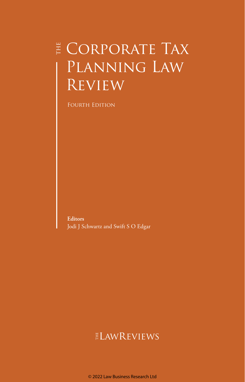## $\sharp$  Corporate Tax PLANNING LAW **REVIEW**

FOURTH EDITION

**Editors** Jodi J Schwartz and Swift S O Edgar

## ELAWREVIEWS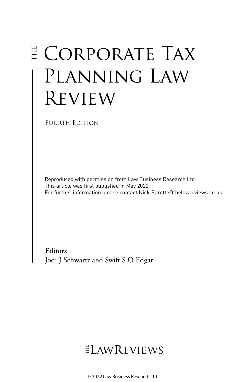# E CORPORATE TAX Planning Law Review

Fourth Edition

Reproduced with permission from Law Business Research Ltd This article was first published in May 2022 For further information please contact Nick.Barette@thelawreviews.co.uk

**Editors** Jodi J Schwartz and Swift S O Edgar

## $ELMR$  EVIEWS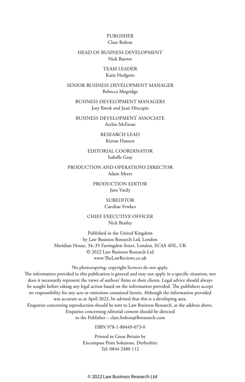#### PUBLISHER Clare Bolton

#### HEAD OF BUSINESS DEVELOPMENT Nick Barette

#### TEAM LEADER Katie Hodgetts

#### SENIOR BUSINESS DEVELOPMENT MANAGER Rebecca Mogridge

BUSINESS DEVELOPMENT MANAGERS Joey Kwok and Juan Hincapie

BUSINESS DEVELOPMENT ASSOCIATE Archie McEwan

> RESEARCH LEAD Kieran Hansen

EDITORIAL COORDINATOR Isabelle Gray

PRODUCTION AND OPERATIONS DIRECTOR Adam Myers

> PRODUCTION EDITOR Jane Vardy

> > SUBEDITOR Caroline Fewkes

CHIEF EXECUTIVE OFFICER Nick Brailey

Published in the United Kingdom by Law Business Research Ltd, London Meridian House, 34–35 Farringdon Street, London, EC4A 4HL, UK © 2022 Law Business Research Ltd www.TheLawReviews.co.uk

No photocopying: copyright licences do not apply. The information provided in this publication is general and may not apply in a specific situation, nor does it necessarily represent the views of authors' firms or their clients. Legal advice should always be sought before taking any legal action based on the information provided. The publishers accept no responsibility for any acts or omissions contained herein. Although the information provided was accurate as at April 2022, be advised that this is a developing area. Enquiries concerning reproduction should be sent to Law Business Research, at the address above. Enquiries concerning editorial content should be directed to the Publisher – clare.bolton@lbresearch.com

ISBN 978-1-80449-073-0

Printed in Great Britain by Encompass Print Solutions, Derbyshire Tel: 0844 2480 112

© 2022 Law Business Research Ltd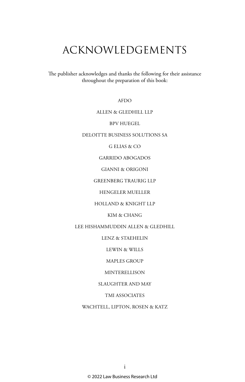## ACKNOWLEDGEMENTS

The publisher acknowledges and thanks the following for their assistance throughout the preparation of this book:

AFDO

#### ALLEN & GLEDHILL LLP

BPV HUEGEL

DELOITTE BUSINESS SOLUTIONS SA

G ELIAS & CO

GARRIDO ABOGADOS

GIANNI & ORIGONI

GREENBERG TRAURIG LLP

HENGELER MUELLER

HOLLAND & KNIGHT LLP

KIM & CHANG

LEE HISHAMMUDDIN ALLEN & GLEDHILL

LENZ & STAEHELIN

LEWIN & WILLS

MAPLES GROUP

**MINTERELLISON** 

SLAUGHTER AND MAY

TMI ASSOCIATES

WACHTELL, LIPTON, ROSEN & KATZ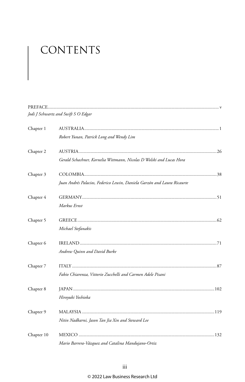# CONTENTS

|            | Jodi J Schwartz and Swift S O Edgar                                     |  |
|------------|-------------------------------------------------------------------------|--|
| Chapter 1  |                                                                         |  |
|            | Robert Yunan, Patrick Long and Wendy Lim                                |  |
| Chapter 2  |                                                                         |  |
|            | Gerald Schachner, Kornelia Wittmann, Nicolas D Wolski and Lucas Hora    |  |
| Chapter 3  |                                                                         |  |
|            | Juan Andrés Palacios, Federico Lewin, Daniela Garzón and Laura Ricaurte |  |
| Chapter 4  |                                                                         |  |
|            | Markus Ernst                                                            |  |
| Chapter 5  |                                                                         |  |
|            | Michael Stefanakis                                                      |  |
| Chapter 6  |                                                                         |  |
|            | Andrew Quinn and David Burke                                            |  |
| Chapter 7  |                                                                         |  |
|            | Fabio Chiarenza, Vittorio Zucchelli and Carmen Adele Pisani             |  |
| Chapter 8  |                                                                         |  |
|            | Hiroyuki Yoshioka                                                       |  |
| Chapter 9  |                                                                         |  |
|            | Nitin Nadkarni, Jason Tan Jia Xin and Steward Lee                       |  |
| Chapter 10 |                                                                         |  |
|            | Mario Barrera-Vázquez and Catalina Mandujano-Ortiz                      |  |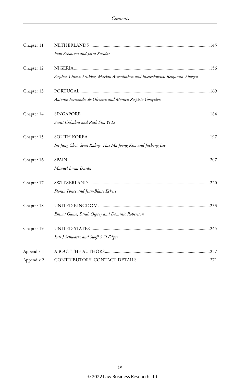| Chapter 11 |                                                                          |  |
|------------|--------------------------------------------------------------------------|--|
|            | Paul Schouten and Jairo Keeldar                                          |  |
| Chapter 12 |                                                                          |  |
|            | Stephen Chima Arubike, Marian Asuenimhen and Eberechukwu Benjamin-Akaogu |  |
| Chapter 13 |                                                                          |  |
|            | António Fernandes de Oliveira and Mónica Respício Gonçalves              |  |
| Chapter 14 |                                                                          |  |
|            | Sunit Chhabra and Ruth Sim Yi Li                                         |  |
| Chapter 15 |                                                                          |  |
|            | Im Jung Choi, Sean Kahng, Hae Ma Joong Kim and Jaehong Lee               |  |
| Chapter 16 |                                                                          |  |
|            | Manuel Lucas Durán                                                       |  |
| Chapter 17 |                                                                          |  |
|            | Floran Ponce and Jean-Blaise Eckert                                      |  |
| Chapter 18 |                                                                          |  |
|            | Emma Game, Sarah Osprey and Dominic Robertson                            |  |
| Chapter 19 |                                                                          |  |
|            | Jodi J Schwartz and Swift S O Edgar                                      |  |
| Appendix 1 |                                                                          |  |
| Appendix 2 |                                                                          |  |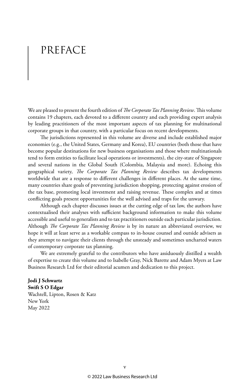## PREFACE

We are pleased to present the fourth edition of *The Corporate Tax Planning Review*. This volume contains 19 chapters, each devoted to a different country and each providing expert analysis by leading practitioners of the most important aspects of tax planning for multinational corporate groups in that country, with a particular focus on recent developments.

The jurisdictions represented in this volume are diverse and include established major economies (e.g., the United States, Germany and Korea), EU countries (both those that have become popular destinations for new business organisations and those where multinationals tend to form entities to facilitate local operations or investments), the city-state of Singapore and several nations in the Global South (Colombia, Malaysia and more). Echoing this geographical variety, *The Corporate Tax Planning Review* describes tax developments worldwide that are a response to different challenges in different places. At the same time, many countries share goals of preventing jurisdiction shopping, protecting against erosion of the tax base, promoting local investment and raising revenue. These complex and at times conflicting goals present opportunities for the well advised and traps for the unwary.

Although each chapter discusses issues at the cutting edge of tax law, the authors have contextualised their analyses with sufficient background information to make this volume accessible and useful to generalists and to tax practitioners outside each particular jurisdiction. Although *The Corporate Tax Planning Review* is by its nature an abbreviated overview, we hope it will at least serve as a workable compass to in-house counsel and outside advisers as they attempt to navigate their clients through the unsteady and sometimes uncharted waters of contemporary corporate tax planning.

We are extremely grateful to the contributors who have assiduously distilled a wealth of expertise to create this volume and to Isabelle Gray, Nick Barette and Adam Myers at Law Business Research Ltd for their editorial acumen and dedication to this project.

**Jodi J Schwartz Swift S O Edgar** Wachtell, Lipton, Rosen & Katz New York May 2022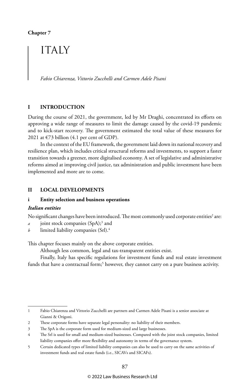**Chapter 7**

### **ITALY**

*Fabio Chiarenza, Vittorio Zucchelli and Carmen Adele Pisani*

#### **I INTRODUCTION**

During the course of 2021, the government, led by Mr Draghi, concentrated its efforts on approving a wide range of measures to limit the damage caused by the covid-19 pandemic and to kick-start recovery. The government estimated the total value of these measures for 2021 at  $\epsilon$ 73 billion (4.1 per cent of GDP).

In the context of the EU framework, the government laid down its national recovery and resilience plan, which includes critical structural reforms and investments, to support a faster transition towards a greener, more digitalised economy. A set of legislative and administrative reforms aimed at improving civil justice, tax administration and public investment have been implemented and more are to come.

#### **II LOCAL DEVELOPMENTS**

#### **i Entity selection and business operations**

#### *Italian entities*

No significant changes have been introduced. The most commonly used corporate entities<sup>2</sup> are:

- *a* joint stock companies (SpA);<sup>3</sup> and
- *b* limited liability companies (Srl).4

This chapter focuses mainly on the above corporate entities.

Although less common, legal and tax-transparent entities exist.

Finally, Italy has specific regulations for investment funds and real estate investment funds that have a contractual form;<sup>5</sup> however, they cannot carry on a pure business activity.

<sup>1</sup> Fabio Chiarenza and Vittorio Zucchelli are partners and Carmen Adele Pisani is a senior associate at Gianni & Origoni.

<sup>2</sup> These corporate forms have separate legal personality: no liability of their members.

<sup>3</sup> The SpA is the corporate form used for medium-sized and large businesses.

<sup>4</sup> The Srl is used for small and medium-sized businesses. Compared with the joint stock companies, limited liability companies offer more flexibility and autonomy in terms of the governance system.

<sup>5</sup> Certain dedicated types of limited liability companies can also be used to carry on the same activities of investment funds and real estate funds (i.e., SICAVs and SICAFs).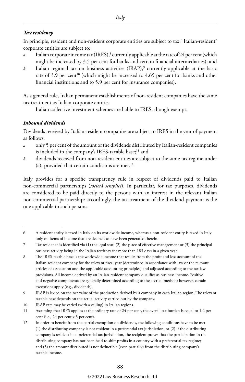#### *Tax residency*

In principle, resident and non-resident corporate entities are subject to tax. $^{\rm 6}$  Italian-resident $^{\rm 7}$ corporate entities are subject to:

- *a* Italian corporate income tax (IRES),<sup>8</sup> currently applicable at the rate of 24 per cent (which might be increased by 3.5 per cent for banks and certain financial intermediaries); and
- $b$  Italian regional tax on business activities (IRAP),<sup>9</sup> currently applicable at the basic rate of 3.9 per cent<sup>10</sup> (which might be increased to 4.65 per cent for banks and other financial institutions and to 5.9 per cent for insurance companies).

As a general rule, Italian permanent establishments of non-resident companies have the same tax treatment as Italian corporate entities.

Italian collective investment schemes are liable to IRES, though exempt.

#### *Inbound dividends*

Dividends received by Italian-resident companies are subject to IRES in the year of payment as follows:

- *a* only 5 per cent of the amount of the dividends distributed by Italian-resident companies is included in the company's IRES-taxable base;<sup>11</sup> and
- *b* dividends received from non-resident entities are subject to the same tax regime under (a), provided that certain conditions are met. $12$

Italy provides for a specific transparency rule in respect of dividends paid to Italian non-commercial partnerships (*società semplici*). In particular, for tax purposes, dividends are considered to be paid directly to the persons with an interest in the relevant Italian non-commercial partnership: accordingly, the tax treatment of the dividend payment is the one applicable to such persons.

<sup>6</sup> A resident entity is taxed in Italy on its worldwide income, whereas a non-resident entity is taxed in Italy only on items of income that are deemed to have been generated therein.

<sup>7</sup> Tax residence is identified via (1) the legal seat, (2) the place of effective management or (3) the principal business activity being in the Italian territory for more than 183 days in a given year.

<sup>8</sup> The IRES-taxable base is the worldwide income that results from the profit and loss account of the Italian-resident company for the relevant fiscal year (determined in accordance with law or the relevant articles of association and the applicable accounting principles) and adjusted according to the tax law provisions. All income derived by an Italian-resident company qualifies as business income. Positive and negative components are generally determined according to the accrual method; however, certain exceptions apply (e.g., dividends).

<sup>9</sup> IRAP is levied on the net value of the production derived by a company in each Italian region. The relevant taxable base depends on the actual activity carried out by the company.

<sup>10</sup> IRAP rate may be varied (with a ceiling) in Italian regions.

<sup>11</sup> Assuming that IRES applies at the ordinary rate of 24 per cent, the overall tax burden is equal to 1.2 per cent (i.e., 24 per cent x 5 per cent).

<sup>12</sup> In order to benefit from the partial exemption on dividends, the following conditions have to be met: (1) the distributing company is not resident in a preferential tax jurisdiction; or (2) if the distributing company is resident in a preferential tax jurisdiction, the recipient proves that the participation in the distributing company has not been held to shift profits in a country with a preferential tax regime; and (3) the amount distributed is not deductible (even partially) from the distributing company's taxable income.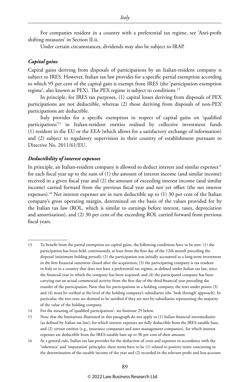For companies resident in a country with a preferential tax regime, see 'Anti-profit shifting measures' in Section II.ii.

Under certain circumstances, dividends may also be subject to IRAP.

#### *Capital gains*

Capital gains deriving from disposals of participations by an Italian-resident company is subject to IRES. However, Italian tax law provides for a specific partial exemption according to which 95 per cent of the capital gain is exempt from IRES (the 'participation exemption regime', also known as PEX). The PEX regime is subject to conditions.13

In principle, for IRES tax purposes, (1) capital losses deriving from disposals of PEX participations are not deductible, whereas (2) those deriving from disposals of non-PEX participations are deductible.

Italy provides for a specific exemption in respect of capital gains on 'qualified participations'14 in Italian-resident entities realised by collective investment funds (1) resident in the EU or the EEA (which allows for a satisfactory exchange of information) and (2) subject to regulatory supervision in their country of establishment pursuant to Directive No. 2011/61/EU.

#### *Deductibility of interest expenses*

In principle, an Italian-resident company is allowed to deduct interest and similar expenses<sup>15</sup> for each fiscal year up to the sum of (1) the amount of interest income (and similar income) received in a given fiscal year and (2) the amount of exceeding interest income (and similar income) carried forward from the previous fiscal year and not yet offset (the net interest expenses).<sup>16</sup> Net interest expenses are in turn deductible up to  $(1)$  30 per cent of the Italian company's gross operating margin, determined on the basis of the values provided for by the Italian tax law (ROL, which is similar to earnings before interest, taxes, depreciation and amortisation), and (2) 30 per cent of the exceeding ROL carried forward from previous fiscal years.

<sup>13</sup> To benefit from the partial exemption on capital gains, the following conditions have to be met: (1) the participation has been held, continuously, at least from the first day of the 12th month preceding the disposal (minimum holding period); (2) the participation was initially accounted as a long-term investment in the first financial statement closed after the acquisition; (3) the participating company is tax resident in Italy or in a country that does not have a preferential tax regime, as defined under Italian tax law, since the financial year in which the company has been acquired; and (4) the participated company has been carrying out an actual commercial activity from the first day of the third financial year preceding the transfer of the participation. Note that for participations in a holding company, the tests under points (3) and (4) must be verified at the level of the holding company's subsidiaries (the 'look through' approach). In particular, the two tests are deemed to be satisfied if they are met by subsidiaries representing the majority of the value of the holding company.

<sup>14</sup> For the meaning of 'qualified participations', see footnote 29 below.

<sup>15</sup> Note that the limitations illustrated in this paragraph do not apply to (1) Italian financial intermediaries (as defined by Italian tax law), for which interest expenses are fully deductible from the IRES-taxable base, and (2) certain entities (e.g., insurance companies and asset management companies), for which interest expenses are deductible from the IRES-taxable base up to 96 per cent of their amount.

<sup>16</sup> As a general rule, Italian tax law provides for the deduction of costs and expenses in accordance with the 'inherence' and 'imputation' principles: these items have to be (1) related to positive items concurring to the determination of the taxable income of the year and (2) recorded in the relevant profit and loss account.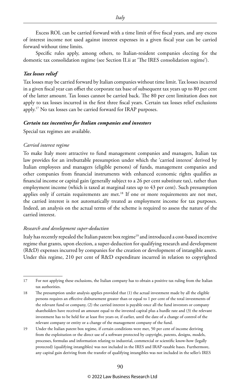Excess ROL can be carried forward with a time limit of five fiscal years, and any excess of interest income not used against interest expenses in a given fiscal year can be carried forward without time limits.

Specific rules apply, among others, to Italian-resident companies electing for the domestic tax consolidation regime (see Section II.ii at 'The IRES consolidation regime').

#### *Tax losses relief*

Tax losses may be carried forward by Italian companies without time limit. Tax losses incurred in a given fiscal year can offset the corporate tax base of subsequent tax years up to 80 per cent of the latter amount. Tax losses cannot be carried back. The 80 per cent limitation does not apply to tax losses incurred in the first three fiscal years. Certain tax losses relief exclusions apply.17 No tax losses can be carried forward for IRAP purposes.

#### *Certain tax incentives for Italian companies and investors*

Special tax regimes are available.

#### *Carried interest regime*

To make Italy more attractive to fund management companies and managers, Italian tax law provides for an irrebuttable presumption under which the 'carried interest' derived by Italian employees and managers (eligible persons) of funds, management companies and other companies from financial instruments with enhanced economic rights qualifies as financial income or capital gain (generally subject to a 26 per cent substitute tax), rather than employment income (which is taxed at marginal rates up to 43 per cent). Such presumption applies only if certain requirements are met.<sup>18</sup> If one or more requirements are not met, the carried interest is not automatically treated as employment income for tax purposes. Indeed, an analysis on the actual terms of the scheme is required to assess the nature of the carried interest.

#### *Research and development super-deduction*

Italy has recently repealed the Italian patent box regime<sup>19</sup> and introduced a cost-based incentive regime that grants, upon election, a super-deduction for qualifying research and development (R&D) expenses incurred by companies for the creation or development of intangible assets. Under this regime, 210 per cent of R&D expenditure incurred in relation to copyrighted

<sup>17</sup> For not applying these exclusions, the Italian company has to obtain a positive tax ruling from the Italian tax authorities.

<sup>18</sup> The presumption under analysis applies provided that (1) the actual investment made by all the eligible persons requires an effective disbursement greater than or equal to 1 per cent of the total investments of the relevant fund or company, (2) the carried interest is payable once all the fund investors or company shareholders have received an amount equal to the invested capital plus a hurdle rate and (3) the relevant investment has to be held for at least five years or, if earlier, until the date of a change of control of the relevant company or entity or a change of the management company of the fund.

<sup>19</sup> Under the Italian patent box regime, if certain conditions were met, 50 per cent of income deriving from the exploitation or the direct use of a software protected by copyright, patents, designs, models, processes, formulas and information relating to industrial, commercial or scientific know-how (legally protected) (qualifying intangibles) was not included in the IRES and IRAP-taxable bases. Furthermore, any capital gain deriving from the transfer of qualifying intangibles was not included in the seller's IRES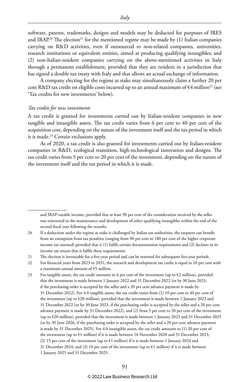software, patents, trademarks, designs and models may be deducted for purposes of IRES and IRAP.<sup>20</sup> The election<sup>21</sup> for the mentioned regime may be made by  $(1)$  Italian companies carrying on R&D activities, even if outsourced to non-related companies, universities, research institutions or equivalent entities, aimed at producing qualifying intangibles; and (2) non-Italian-resident companies carrying on the above-mentioned activities in Italy through a permanent establishment, provided that they are resident in a jurisdiction that has signed a double tax treaty with Italy and that allows an actual exchange of information.

A company electing for the regime at stake may simultaneously claim a further 20 per cent R&D tax credit on eligible costs incurred up to an annual maximum of  $\epsilon$ 4 million<sup>22</sup> (see 'Tax credits for new investments' below).

#### *Tax credits for new investments*

A tax credit is granted for investments carried out by Italian-resident companies in new tangible and intangible assets. The tax credit varies from 6 per cent to 40 per cent of the acquisition cost, depending on the nature of the investment itself and the tax period in which it is made.<sup>23</sup> Certain exclusions apply.

As of 2020, a tax credit is also granted for investments carried out by Italian-resident companies in R&D, ecological transition, high-technological innovation and designs. The tax credit varies from 5 per cent to 20 per cent of the investment, depending on the nature of the investment itself and the tax period in which it is made.

23 For tangible assets, the tax credit amounts to 6 per cent of the investment (up to  $\epsilon$ 2 million), provided that the investment is made between 1 January 2022 and 31 December 2022 (or by 30 June 2023, if the purchasing order is accepted by the seller and a 20 per cent advance payment is made by 31 December 2022). For 4.0 tangible assets, the tax credit varies from (1) 10 per cent to 40 per cent of the investment (up to €20 million), provided that the investment is made between 1 January 2022 and 31 December 2022 (or by 30 June 2023, if the purchasing order is accepted by the seller and a 20 per cent advance payment is made by 31 December 2022), and (2) from 5 per cent to 20 per cent of the investment (up to €20 million), provided that the investment is made between 1 January 2023 and 31 December 2025 (or by 30 June 2026, if the purchasing order is accepted by the seller and a 20 per cent advance payment is made by 31 December 2025). For 4.0 intangible assets, the tax credit amounts to (1) 20 per cent of the investment (up to €1 million) if it is made between 16 November 2020 and 31 December 2023; (2) 15 per cent of the investment (up to €1 million) if it is made between 1 January 2024 and 31 December 2024; and (3) 10 per cent of the investment (up to  $\epsilon$ 1 million) if it is made between 1 January 2025 and 31 December 2025.

and IRAP-taxable income, provided that at least 90 per cent of the consideration received by the seller was reinvested in the maintenance and development of other qualifying intangibles within the end of the second fiscal year following the transfer.

<sup>20</sup> If a deduction under the regime at stake is challenged by Italian tax authorities, the taxpayer can benefit from an exemption from tax penalties (ranging from 90 per cent to 180 per cent of the higher corporate income tax assessed) provided that it (1) fulfils certain documentation requirements and (2) declares in its income tax return that it fulfils these requirements.

<sup>21</sup> The election is irrevocable for a five-year period and can be renewed for subsequent five-year periods.

<sup>22</sup> For financial years from 2023 to 2031, the research and development tax credit is equal to 10 per cent with a maximum annual amount of €5 million.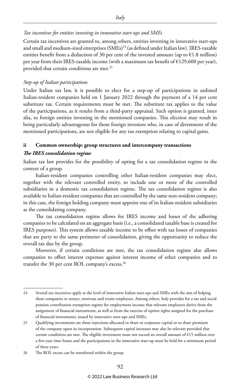#### *Tax incentives for entities investing in innovative start-ups and SMEs*

Certain tax incentives are granted to, among others, entities investing in innovative start-ups and small and medium-sized enterprises (SMEs)<sup>24</sup> (as defined under Italian law). IRES-taxable entities benefit from a deduction of 30 per cent of the invested amount (up to  $\epsilon$ 1.8 million) per year from their IRES-taxable income (with a maximum tax benefit of €129,600 per year), provided that certain conditions are met.<sup>25</sup>

#### *Step-up of Italian participations*

Under Italian tax law, it is possible to elect for a step-up of participations in unlisted Italian-resident companies held on 1 January 2022 through the payment of a 14 per cent substitute tax. Certain requirements must be met. The substitute tax applies to the value of the participations, as it results from a third-party appraisal. Such option is granted, inter alia, to foreign entities investing in the mentioned companies. This election may result in being particularly advantageous for those foreign investors who, in case of divestment of the mentioned participations, are not eligible for any tax exemption relating to capital gains.

#### **ii Common ownership: group structures and intercompany transactions**

#### *The IRES consolidation regime*

Italian tax law provides for the possibility of opting for a tax consolidation regime in the context of a group.

Italian-resident companies controlling other Italian-resident companies may elect, together with the relevant controlled entity, to include one or more of the controlled subsidiaries in a domestic tax consolidation regime. The tax consolidation regime is also available to Italian-resident companies that are controlled by the same non-resident company; in this case, the foreign holding company must appoint one of its Italian-resident subsidiaries as the consolidating company.

The tax consolidation regime allows for IRES income and losses of the adhering companies to be calculated on an aggregate basis (i.e., a consolidated taxable base is created for IRES purposes). This system allows taxable income to be offset with tax losses of companies that are party to the same perimeter of consolidation, giving the opportunity to reduce the overall tax due by the group.

Moreover, if certain conditions are met, the tax consolidation regime also allows companies to offset interest expenses against interest income of other companies and to transfer the 30 per cent ROL company's excess.26

<sup>24</sup> Several tax incentives apply at the level of innovative Italian start-ups and SMEs with the aim of helping these companies to attract, motivate and retain employees. Among others, Italy provides for a tax and social pension contribution exemption regime for employment income that relevant employees derive from the assignment of financial instruments, as well as from the exercise of option rights assigned for the purchase of financial instruments, issued by innovative start-ups and SMEs.

<sup>25</sup> Qualifying investments are those injections allocated to share or corporate capital or to share premium of the company upon its incorporation. Subsequent capital increases may also be relevant provided that certain conditions are met. The eligible investment must not exceed an overall amount of €15 million over a five-year time frame and the participations in the innovative start-up must be held for a minimum period of three years.

<sup>26</sup> The ROL excess can be transferred within the group.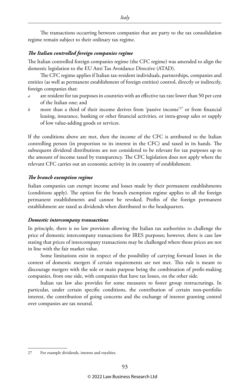The transactions occurring between companies that are party to the tax consolidation regime remain subject to their ordinary tax regime.

*Italy*

#### *The Italian controlled foreign companies regime*

The Italian controlled foreign companies regime (the CFC regime) was amended to align the domestic legislation to the EU Anti Tax Avoidance Directive (ATAD).

The CFC regime applies if Italian tax-resident individuals, partnerships, companies and entities (as well as permanent establishment of foreign entities) control, directly or indirectly, foreign companies that:

- *a* are resident for tax purposes in countries with an effective tax rate lower than 50 per cent of the Italian one; and
- *b* more than a third of their income derives from 'passive income'<sup>27</sup> or from financial leasing, insurance, banking or other financial activities, or intra-group sales or supply of low value-adding goods or services.

If the conditions above are met, then the income of the CFC is attributed to the Italian controlling person (in proportion to its interest in the CFC) and taxed in its hands. The subsequent dividend distributions are not considered to be relevant for tax purposes up to the amount of income taxed by transparency. The CFC legislation does not apply where the relevant CFC carries out an economic activity in its country of establishment.

#### *The branch exemption regime*

Italian companies can exempt income and losses made by their permanent establishments (conditions apply). The option for the branch exemption regime applies to all the foreign permanent establishments and cannot be revoked. Profits of the foreign permanent establishment are taxed as dividends when distributed to the headquarters.

#### *Domestic intercompany transactions*

In principle, there is no law provision allowing the Italian tax authorities to challenge the price of domestic intercompany transactions for IRES purposes; however, there is case law stating that prices of intercompany transactions may be challenged where those prices are not in line with the fair market value.

Some limitations exist in respect of the possibility of carrying forward losses in the context of domestic mergers if certain requirements are not met. This rule is meant to discourage mergers with the sole or main purpose being the combination of profit-making companies, from one side, with companies that have tax losses, on the other side.

Italian tax law also provides for some measures to foster group restructurings. In particular, under certain specific conditions, the contribution of certain non-portfolio interest, the contribution of going concerns and the exchange of interest granting control over companies are tax neutral.

<sup>27</sup> For example dividends, interest and royalties.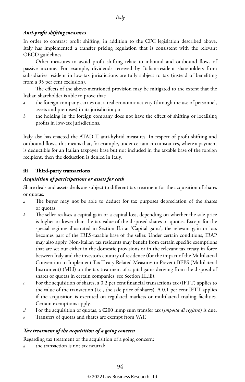#### *Anti-profit shifting measures*

In order to contrast profit shifting, in addition to the CFC legislation described above, Italy has implemented a transfer pricing regulation that is consistent with the relevant OECD guidelines.

Other measures to avoid profit shifting relate to inbound and outbound flows of passive income. For example, dividends received by Italian-resident shareholders from subsidiaries resident in low-tax jurisdictions are fully subject to tax (instead of benefiting from a 95 per cent exclusion).

The effects of the above-mentioned provision may be mitigated to the extent that the Italian shareholder is able to prove that:

- *a* the foreign company carries out a real economic activity (through the use of personnel, assets and premises) in its jurisdiction; or
- *b* the holding in the foreign company does not have the effect of shifting or localising profits in low-tax jurisdictions.

Italy also has enacted the ATAD II anti-hybrid measures. In respect of profit shifting and outbound flows, this means that, for example, under certain circumstances, where a payment is deductible for an Italian taxpayer base but not included in the taxable base of the foreign recipient, then the deduction is denied in Italy.

#### **iii Third-party transactions**

#### *Acquisition of participations or assets for cash*

Share deals and assets deals are subject to different tax treatment for the acquisition of shares or quotas.

- *a* The buyer may not be able to deduct for tax purposes depreciation of the shares or quotas.
- *b* The seller realises a capital gain or a capital loss, depending on whether the sale price is higher or lower than the tax value of the disposed shares or quotas. Except for the special regimes illustrated in Section II.i at 'Capital gains', the relevant gain or loss becomes part of the IRES-taxable base of the seller. Under certain conditions, IRAP may also apply. Non-Italian tax residents may benefit from certain specific exemptions that are set out either in the domestic provisions or in the relevant tax treaty in force between Italy and the investor's country of residence (for the impact of the Multilateral Convention to Implement Tax Treaty Related Measures to Prevent BEPS (Multilateral Instrument) (MLI) on the tax treatment of capital gains deriving from the disposal of shares or quotas in certain companies, see Section III.iii).
- $c$  For the acquisition of shares, a 0.2 per cent financial transactions tax (IFTT) applies to the value of the transaction (i.e., the sale price of shares). A 0.1 per cent IFTT applies if the acquisition is executed on regulated markets or multilateral trading facilities. Certain exemptions apply.
- *d* For the acquisition of quotas, a  $\epsilon$ 200 lump sum transfer tax (*imposta di registro*) is due.
- *e* Transfers of quotas and shares are exempt from VAT.

#### *Tax treatment of the acquisition of a going concern*

Regarding tax treatment of the acquisition of a going concern:

*a* the transaction is not tax neutral;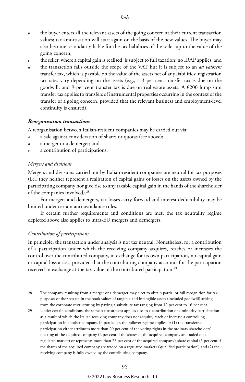- *b* the buyer enters all the relevant assets of the going concern at their current transaction values; tax amortisation will start again on the basis of the new values. The buyer may also become secondarily liable for the tax liabilities of the seller up to the value of the going concern;
- *c* the seller, where a capital gain is realised, is subject to full taxation; no IRAP applies; and
- *d* the transaction falls outside the scope of the VAT but it is subject to an *ad valorem*  transfer tax, which is payable on the value of the assets net of any liabilities; registration tax rates vary depending on the assets (e.g., a 3 per cent transfer tax is due on the goodwill, and 9 per cent transfer tax is due on real estate assets. A  $\epsilon$ 200 lump sum transfer tax applies to transfers of instrumental properties occurring in the context of the transfer of a going concern, provided that the relevant business and employment-level continuity is ensured).

#### *Reorganisation transactions*

A reorganisation between Italian-resident companies may be carried out via:

- *a* a sale against consideration of shares or quotas (see above);
- *b* a merger or a demerger; and
- *c* a contribution of participations.

#### *Mergers and divisions*

Mergers and divisions carried out by Italian-resident companies are neutral for tax purposes (i.e., they neither represent a realisation of capital gains or losses on the assets owned by the participating company nor give rise to any taxable capital gain in the hands of the shareholder of the companies involved).28

For mergers and demergers, tax losses carry-forward and interest deductibility may be limited under certain anti-avoidance rules.

If certain further requirements and conditions are met, the tax neutrality regime depicted above also applies to intra-EU mergers and demergers.

#### *Contribution of participations*

In principle, the transaction under analysis is not tax neutral. Nonetheless, for a contribution of a participation under which the receiving company acquires, reaches or increases the control over the contributed company, in exchange for its own participation, no capital gain or capital loss arises, provided that the contributing company accounts for the participation received in exchange at the tax value of the contributed participation.<sup>29</sup>

- 28 The company resulting from a merger or a demerger may elect to obtain partial or full recognition for tax purposes of the step-up in the book values of tangible and intangible assets (included goodwill) arising from the corporate restructuring by paying a substitute tax ranging from 12 per cent to 16 per cent.
- 29 Under certain conditions, the same tax treatment applies also to a contribution of a minority participation as a result of which the Italian receiving company does not acquire, reach or increase a controlling participation in another company. In particular, the rollover regime applies if: (1) the transferred participation either attributes more than 20 per cent of the voting rights in the ordinary shareholders' meeting of the acquired company (2 per cent if the shares of the acquired company are traded on a regulated market) or represents more than 25 per cent of the acquired company's share capital (5 per cent if the shares of the acquired company are traded on a regulated market) ('qualified participation') and (2) the receiving company is fully owned by the contributing company.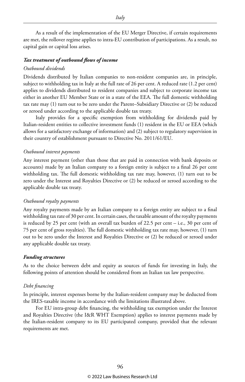As a result of the implementation of the EU Merger Directive, if certain requirements are met, the rollover regime applies to intra-EU contribution of participations. As a result, no capital gain or capital loss arises.

#### *Tax treatment of outbound flows of income*

#### *Outbound dividends*

Dividends distributed by Italian companies to non-resident companies are, in principle, subject to withholding tax in Italy at the full rate of 26 per cent. A reduced rate (1.2 per cent) applies to dividends distributed to resident companies and subject to corporate income tax either in another EU Member State or in a state of the EEA. The full domestic withholding tax rate may (1) turn out to be zero under the Parent–Subsidiary Directive or (2) be reduced or zeroed under according to the applicable double tax treaty.

Italy provides for a specific exemption from withholding for dividends paid by Italian-resident entities to collective investment funds (1) resident in the EU or EEA (which allows for a satisfactory exchange of information) and (2) subject to regulatory supervision in their country of establishment pursuant to Directive No. 2011/61/EU.

#### *Outbound interest payments*

Any interest payment (other than those that are paid in connection with bank deposits or accounts) made by an Italian company to a foreign entity is subject to a final 26 per cent withholding tax. The full domestic withholding tax rate may, however, (1) turn out to be zero under the Interest and Royalties Directive or (2) be reduced or zeroed according to the applicable double tax treaty.

#### *Outbound royalty payments*

Any royalty payments made by an Italian company to a foreign entity are subject to a final withholding tax rate of 30 per cent. In certain cases, the taxable amount of the royalty payments is reduced by 25 per cent (with an overall tax burden of 22.5 per cent – i.e., 30 per cent of 75 per cent of gross royalties). The full domestic withholding tax rate may, however, (1) turn out to be zero under the Interest and Royalties Directive or (2) be reduced or zeroed under any applicable double tax treaty.

#### *Funding structures*

As to the choice between debt and equity as sources of funds for investing in Italy, the following points of attention should be considered from an Italian tax law perspective.

#### *Debt financing*

In principle, interest expenses borne by the Italian-resident company may be deducted from the IRES-taxable income in accordance with the limitations illustrated above.

For EU intra-group debt financing, the withholding tax exemption under the Interest and Royalties Directive (the I&R WHT Exemption) applies to interest payments made by the Italian-resident company to its EU participated company, provided that the relevant requirements are met.

*Italy*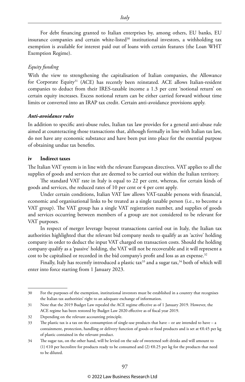For debt financing granted to Italian enterprises by, among others, EU banks, EU insurance companies and certain white-listed $30$  institutional investors, a withholding tax exemption is available for interest paid out of loans with certain features (the Loan WHT Exemption Regime).

#### *Equity funding*

With the view to strengthening the capitalisation of Italian companies, the Allowance for Corporate Equity<sup>31</sup> (ACE) has recently been reinstated. ACE allows Italian-resident companies to deduct from their IRES-taxable income a 1.3 per cent 'notional return' on certain equity increases. Excess notional return can be either carried forward without time limits or converted into an IRAP tax credit. Certain anti-avoidance provisions apply.

#### *Anti-avoidance rules*

In addition to specific anti-abuse rules, Italian tax law provides for a general anti-abuse rule aimed at counteracting those transactions that, although formally in line with Italian tax law, do not have any economic substance and have been put into place for the essential purpose of obtaining undue tax benefits.

#### **iv Indirect taxes**

The Italian VAT system is in line with the relevant European directives. VAT applies to all the supplies of goods and services that are deemed to be carried out within the Italian territory.

The standard VAT rate in Italy is equal to 22 per cent, whereas, for certain kinds of goods and services, the reduced rates of 10 per cent or 4 per cent apply.

Under certain conditions, Italian VAT law allows VAT-taxable persons with financial, economic and organisational links to be treated as a single taxable person (i.e., to become a VAT group). The VAT group has a single VAT registration number, and supplies of goods and services occurring between members of a group are not considered to be relevant for VAT purposes.

In respect of merger leverage buyout transactions carried out in Italy, the Italian tax authorities highlighted that the relevant bid company needs to qualify as an 'active' holding company in order to deduct the input VAT charged on transaction costs. Should the holding company qualify as a 'passive' holding, the VAT will not be recoverable and it will represent a cost to be capitalised or recorded in the bid company's profit and loss as an expense.<sup>32</sup>

Finally, Italy has recently introduced a plastic tax<sup>33</sup> and a sugar tax,<sup>34</sup> both of which will enter into force starting from 1 January 2023.

#### © 2022 Law Business Research Ltd

<sup>30</sup> For the purposes of the exemption, institutional investors must be established in a country that recognises the Italian tax authorities' right to an adequate exchange of information.

<sup>31</sup> Note that the 2019 Budget Law repealed the ACE regime effective as of 1 January 2019. However, the ACE regime has been restored by Budget Law 2020 effective as of fiscal year 2019.

<sup>32</sup> Depending on the relevant accounting principle.

<sup>33</sup> The plastic tax is a tax on the consumption of single-use products that have – or are intended to have – a containment, protection, handling or delivery function of goods or food products and is set at €0.45 per kg of plastic contained in the relevant product.

<sup>34</sup> The sugar tax, on the other hand, will be levied on the sale of sweetened soft drinks and will amount to (1)  $\epsilon$ 10 per hectolitre for products ready to be consumed and (2)  $\epsilon$ 0.25 per kg for the products that need to be diluted.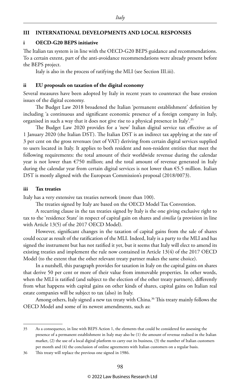#### **III INTERNATIONAL DEVELOPMENTS AND LOCAL RESPONSES**

#### **i OECD-G20 BEPS initiative**

The Italian tax system is in line with the OECD-G20 BEPS guidance and recommendations. To a certain extent, part of the anti-avoidance recommendations were already present before the BEPS project.

Italy is also in the process of ratifying the MLI (see Section III.iii).

#### **ii EU proposals on taxation of the digital economy**

Several measures have been adopted by Italy in recent years to counteract the base erosion issues of the digital economy.

The Budget Law 2018 broadened the Italian 'permanent establishment' definition by including 'a continuous and significant economic presence of a foreign company in Italy, organised in such a way that it does not give rise to a physical presence in Italy'.35

The Budget Law 2020 provides for a 'new' Italian digital service tax effective as of 1 January 2020 (the Italian DST). The Italian DST is an indirect tax applying at the rate of 3 per cent on the gross revenues (net of VAT) deriving from certain digital services supplied to users located in Italy. It applies to both resident and non-resident entities that meet the following requirements: the total amount of their worldwide revenue during the calendar year is not lower than €750 million; and the total amount of revenue generated in Italy during the calendar year from certain digital services is not lower than €5.5 million. Italian DST is mostly aligned with the European Commission's proposal (2018/0073).

#### **iii Tax treaties**

Italy has a very extensive tax treaties network (more than 100).

The treaties signed by Italy are based on the OECD Model Tax Convention.

A recurring clause in the tax treaties signed by Italy is the one giving exclusive right to tax to the 'residence State' in respect of capital gain on shares and *similia* (a provision in line with Article 13(5) of the 2017 OECD Model).

However, significant changes in the taxation of capital gains from the sale of shares could occur as result of the ratification of the MLI. Indeed, Italy is a party to the MLI and has signed the instrument but has not ratified it yet, but it seems that Italy will elect to amend its existing treaties and implement the rule now contained in Article 13(4) of the 2017 OECD Model (to the extent that the other relevant treaty partner makes the same choice).

In a nutshell, this paragraph provides for taxation in Italy on the capital gains on shares that derive 50 per cent or more of their value from immovable properties. In other words, when the MLI is ratified (and subject to the election of the other treaty partners), differently from what happens with capital gains on other kinds of shares, capital gains on Italian real estate companies will be subject to tax (also) in Italy.

Among others, Italy signed a new tax treaty with China.<sup>36</sup> This treaty mainly follows the OECD Model and some of its newest amendments, such as:

<sup>35</sup> As a consequence, in line with BEPS Action 1, the elements that could be considered for assessing the presence of a permanent establishment in Italy may also be (1) the amount of revenue realised in the Italian market, (2) the use of a local digital platform to carry out its business, (3) the number of Italian customers per month and (4) the conclusion of online agreements with Italian customers on a regular basis.

<sup>36</sup> This treaty will replace the previous one signed in 1986.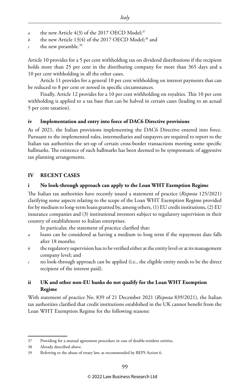- the new Article 4(3) of the 2017 OECD Model;<sup>37</sup>
- *b* the new Article 13(4) of the 2017 OECD Model;<sup>38</sup> and
- the new preamble.<sup>39</sup>

Article 10 provides for a 5 per cent withholding tax on dividend distributions if the recipient holds more than 25 per cent in the distributing company for more than 365 days and a 10 per cent withholding in all the other cases.

Article 11 provides for a general 10 per cent withholding on interest payments that can be reduced to 8 per cent or zeroed in specific circumstances.

Finally, Article 12 provides for a 10 per cent withholding on royalties. This 10 per cent withholding is applied to a tax base that can be halved in certain cases (leading to an actual 5 per cent taxation).

#### **iv Implementation and entry into force of DAC6 Directive provisions**

As of 2021, the Italian provisions implementing the DAC6 Directive entered into force. Pursuant to the implemented rules, intermediaries and taxpayers are required to report to the Italian tax authorities the set-up of certain cross-border transactions meeting some specific hallmarks. The existence of such hallmarks has been deemed to be symptomatic of aggressive tax planning arrangements.

#### **IV RECENT CASES**

#### **i No look-through approach can apply to the Loan WHT Exemption Regime**

The Italian tax authorities have recently issued a statement of practice (*Risposta* 125/2021) clarifying some aspects relating to the scope of the Loan WHT Exemption Regime provided for by medium to long-term loans granted by, among others, (1) EU credit institutions, (2) EU insurance companies and (3) institutional investors subject to regulatory supervision in their country of establishment to Italian enterprises.

In particular, the statement of practice clarified that:

- *a* loans can be considered as having a medium to long term if the repayment date falls after 18 months;
- *b* the regulatory supervision has to be verified either at the entity level or at its management company level; and
- *c* no look-through approach can be applied (i.e., the eligible entity needs to be the direct recipient of the interest paid).

#### **ii UK and other non-EU banks do not qualify for the Loan WHT Exemption Regime**

With statement of practice No. 839 of 21 December 2021 (*Risposta* 839/2021), the Italian tax authorities clarified that credit institutions established in the UK cannot benefit from the Loan WHT Exemption Regime for the following reasons:

<sup>37</sup> Providing for a mutual agreement procedure in case of double-resident entities.

<sup>38</sup> Already described above.

<sup>39</sup> Referring to the abuse of treaty law, as recommended by BEPS Action 6.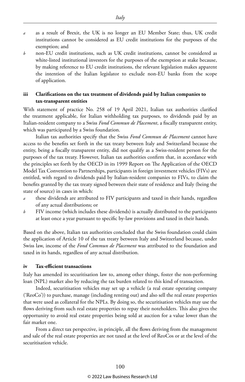- *a* as a result of Brexit, the UK is no longer an EU Member State; thus, UK credit institutions cannot be considered as EU credit institutions for the purposes of the exemption; and
- *b* non-EU credit institutions, such as UK credit institutions, cannot be considered as white-listed institutional investors for the purposes of the exemption at stake because, by making reference to EU credit institutions, the relevant legislation makes apparent the intention of the Italian legislator to exclude non-EU banks from the scope of application.

#### **iii Clarifications on the tax treatment of dividends paid by Italian companies to tax-transparent entities**

With statement of practice No. 258 of 19 April 2021, Italian tax authorities clarified the treatment applicable, for Italian withholding tax purposes, to dividends paid by an Italian-resident company to a Swiss *Fond Commun de Placement*, a fiscally transparent entity, which was participated by a Swiss foundation.

Italian tax authorities specify that the Swiss *Fond Commun de Placement* cannot have access to the benefits set forth in the tax treaty between Italy and Switzerland because the entity, being a fiscally transparent entity, did not qualify as a Swiss-resident person for the purposes of the tax treaty. However, Italian tax authorities confirm that, in accordance with the principles set forth by the OECD in its 1999 Report on The Application of the OECD Model Tax Convention to Partnerships, participants in foreign investment vehicles (FIVs) are entitled, with regard to dividends paid by Italian-resident companies to FIVs, to claim the benefits granted by the tax treaty signed between their state of residence and Italy (being the state of source) in cases in which:

- *a* these dividends are attributed to FIV participants and taxed in their hands, regardless of any actual distributions; or
- *b* FIV income (which includes these dividends) is actually distributed to the participants at least once a year pursuant to specific by-law provisions and taxed in their hands.

Based on the above, Italian tax authorities concluded that the Swiss foundation could claim the application of Article 10 of the tax treaty between Italy and Switzerland because, under Swiss law, income of the *Fond Commun de Placement* was attributed to the foundation and taxed in its hands, regardless of any actual distribution.

#### **iv Tax-efficient transactions**

Italy has amended its securitisation law to, among other things, foster the non-performing loan (NPL) market also by reducing the tax burden related to this kind of transaction.

Indeed, securitisation vehicles may set up a vehicle (a real estate operating company ('ReoCo')) to purchase, manage (including renting out) and also sell the real estate properties that were used as collateral for the NPLs. By doing so, the securitisation vehicles may use the flows deriving from such real estate properties to repay their noteholders. This also gives the opportunity to avoid real estate properties being sold at auction for a value lower than the fair market one.

From a direct tax perspective, in principle, all the flows deriving from the management and sale of the real estate properties are not taxed at the level of ReoCos or at the level of the securitisation vehicle.

#### © 2022 Law Business Research Ltd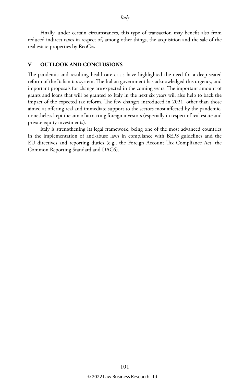Finally, under certain circumstances, this type of transaction may benefit also from reduced indirect taxes in respect of, among other things, the acquisition and the sale of the real estate properties by ReoCos.

#### **V OUTLOOK AND CONCLUSIONS**

The pandemic and resulting healthcare crisis have highlighted the need for a deep-seated reform of the Italian tax system. The Italian government has acknowledged this urgency, and important proposals for change are expected in the coming years. The important amount of grants and loans that will be granted to Italy in the next six years will also help to back the impact of the expected tax reform. The few changes introduced in 2021, other than those aimed at offering real and immediate support to the sectors most affected by the pandemic, nonetheless kept the aim of attracting foreign investors (especially in respect of real estate and private equity investments).

Italy is strengthening its legal framework, being one of the most advanced countries in the implementation of anti-abuse laws in compliance with BEPS guidelines and the EU directives and reporting duties (e.g., the Foreign Account Tax Compliance Act, the Common Reporting Standard and DAC6).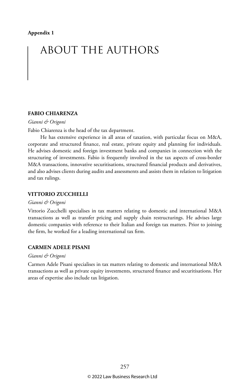## ABOUT THE AUTHORS

#### **FABIO CHIARENZA**

*Gianni & Origoni*

Fabio Chiarenza is the head of the tax department.

He has extensive experience in all areas of taxation, with particular focus on M&A, corporate and structured finance, real estate, private equity and planning for individuals. He advises domestic and foreign investment banks and companies in connection with the structuring of investments. Fabio is frequently involved in the tax aspects of cross-border M&A transactions, innovative securitisations, structured financial products and derivatives, and also advises clients during audits and assessments and assists them in relation to litigation and tax rulings.

#### **VITTORIO ZUCCHELLI**

#### *Gianni & Origoni*

Vittorio Zucchelli specialises in tax matters relating to domestic and international M&A transactions as well as transfer pricing and supply chain restructurings. He advises large domestic companies with reference to their Italian and foreign tax matters. Prior to joining the firm, he worked for a leading international tax firm.

#### **CARMEN ADELE PISANI**

#### *Gianni & Origoni*

Carmen Adele Pisani specialises in tax matters relating to domestic and international M&A transactions as well as private equity investments, structured finance and securitisations. Her areas of expertise also include tax litigation.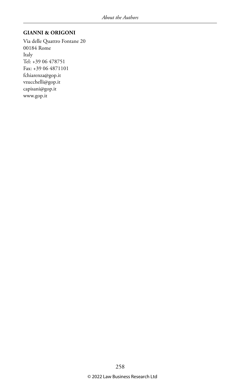#### **GIANNI & ORIGONI**

Via delle Quattro Fontane 20 00184 Rome Italy Tel: +39 06 478751 Fax: +39 06 4871101 fchiarenza@gop.it vzucchelli@gop.it capisani@gop.it www.gop.it